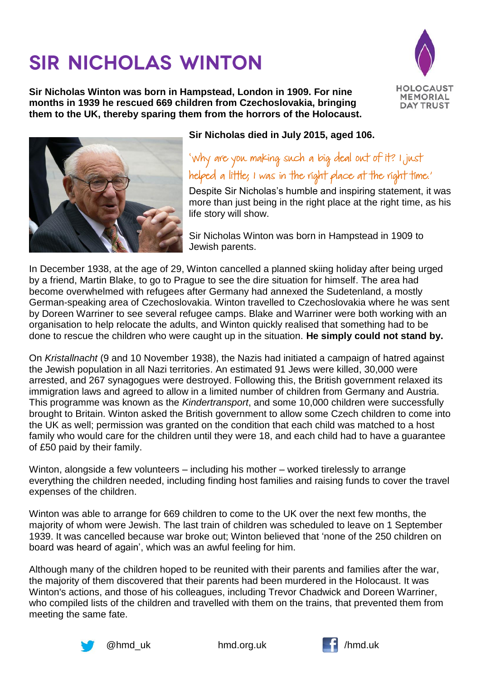## **SIR NICHOLAS WINTON**

**Sir Nicholas Winton was born in Hampstead, London in 1909. For nine months in 1939 he rescued 669 children from Czechoslovakia, bringing them to the UK, thereby sparing them from the horrors of the Holocaust.**





## **Sir Nicholas died in July 2015, aged 106.**

'Why are you making such a big deal out of it? I just helped a little; I was in the right place at the right time.'

Despite Sir Nicholas's humble and inspiring statement, it was more than just being in the right place at the right time, as his life story will show.

Sir Nicholas Winton was born in Hampstead in 1909 to Jewish parents.

In December 1938, at the age of 29, Winton cancelled a planned skiing holiday after being urged by a friend, Martin Blake, to go to Prague to see the dire situation for himself. The area had become overwhelmed with refugees after Germany had annexed the Sudetenland, a mostly German-speaking area of Czechoslovakia. Winton travelled to Czechoslovakia where he was sent by Doreen Warriner to see several refugee camps. Blake and Warriner were both working with an organisation to help relocate the adults, and Winton quickly realised that something had to be done to rescue the children who were caught up in the situation. **He simply could not stand by.**

On *Kristallnacht* (9 and 10 November 1938), the Nazis had initiated a campaign of hatred against the Jewish population in all Nazi territories. An estimated 91 Jews were killed, 30,000 were arrested, and 267 synagogues were destroyed. Following this, the British government relaxed its immigration laws and agreed to allow in a limited number of children from Germany and Austria. This programme was known as the *Kindertransport*, and some 10,000 children were successfully brought to Britain. Winton asked the British government to allow some Czech children to come into the UK as well; permission was granted on the condition that each child was matched to a host family who would care for the children until they were 18, and each child had to have a guarantee of £50 paid by their family.

Winton, alongside a few volunteers – including his mother – worked tirelessly to arrange everything the children needed, including finding host families and raising funds to cover the travel expenses of the children.

Winton was able to arrange for 669 children to come to the UK over the next few months, the majority of whom were Jewish. The last train of children was scheduled to leave on 1 September 1939. It was cancelled because war broke out; Winton believed that 'none of the 250 children on board was heard of again', which was an awful feeling for him.

Although many of the children hoped to be reunited with their parents and families after the war, the majority of them discovered that their parents had been murdered in the Holocaust. It was Winton's actions, and those of his colleagues, including Trevor Chadwick and Doreen Warriner, who compiled lists of the children and travelled with them on the trains, that prevented them from meeting the same fate.